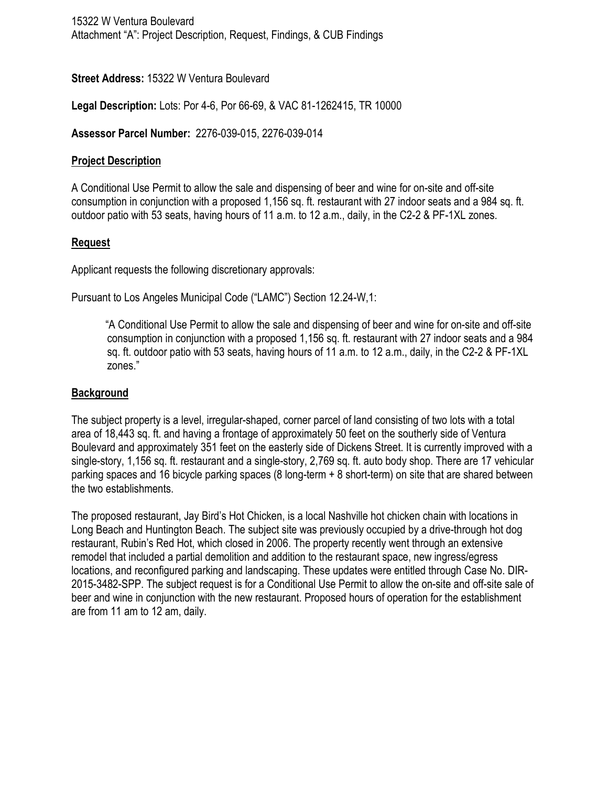## **Street Address:** 15322 W Ventura Boulevard

**Legal Description:** Lots: Por 4-6, Por 66-69, & VAC 81-1262415, TR 10000

**Assessor Parcel Number:** 2276-039-015, 2276-039-014

## **Project Description**

A Conditional Use Permit to allow the sale and dispensing of beer and wine for on-site and off-site consumption in conjunction with a proposed 1,156 sq. ft. restaurant with 27 indoor seats and a 984 sq. ft. outdoor patio with 53 seats, having hours of 11 a.m. to 12 a.m., daily, in the C2-2 & PF-1XL zones.

# **Request**

Applicant requests the following discretionary approvals:

Pursuant to Los Angeles Municipal Code ("LAMC") Section 12.24-W,1:

"A Conditional Use Permit to allow the sale and dispensing of beer and wine for on-site and off-site consumption in conjunction with a proposed 1,156 sq. ft. restaurant with 27 indoor seats and a 984 sq. ft. outdoor patio with 53 seats, having hours of 11 a.m. to 12 a.m., daily, in the C2-2 & PF-1XL zones."

## **Background**

The subject property is a level, irregular-shaped, corner parcel of land consisting of two lots with a total area of 18,443 sq. ft. and having a frontage of approximately 50 feet on the southerly side of Ventura Boulevard and approximately 351 feet on the easterly side of Dickens Street. It is currently improved with a single-story, 1,156 sq. ft. restaurant and a single-story, 2,769 sq. ft. auto body shop. There are 17 vehicular parking spaces and 16 bicycle parking spaces (8 long-term + 8 short-term) on site that are shared between the two establishments.

The proposed restaurant, Jay Bird's Hot Chicken, is a local Nashville hot chicken chain with locations in Long Beach and Huntington Beach. The subject site was previously occupied by a drive-through hot dog restaurant, Rubin's Red Hot, which closed in 2006. The property recently went through an extensive remodel that included a partial demolition and addition to the restaurant space, new ingress/egress locations, and reconfigured parking and landscaping. These updates were entitled through Case No. DIR-2015-3482-SPP. The subject request is for a Conditional Use Permit to allow the on-site and off-site sale of beer and wine in conjunction with the new restaurant. Proposed hours of operation for the establishment are from 11 am to 12 am, daily.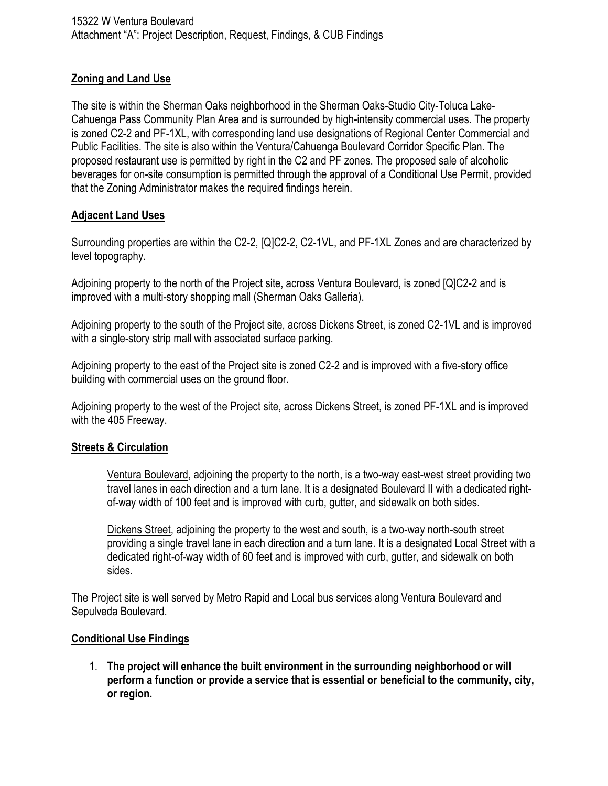## **Zoning and Land Use**

The site is within the Sherman Oaks neighborhood in the Sherman Oaks-Studio City-Toluca Lake-Cahuenga Pass Community Plan Area and is surrounded by high-intensity commercial uses. The property is zoned C2-2 and PF-1XL, with corresponding land use designations of Regional Center Commercial and Public Facilities. The site is also within the Ventura/Cahuenga Boulevard Corridor Specific Plan. The proposed restaurant use is permitted by right in the C2 and PF zones. The proposed sale of alcoholic beverages for on-site consumption is permitted through the approval of a Conditional Use Permit, provided that the Zoning Administrator makes the required findings herein.

## **Adjacent Land Uses**

Surrounding properties are within the C2-2, [Q]C2-2, C2-1VL, and PF-1XL Zones and are characterized by level topography.

Adjoining property to the north of the Project site, across Ventura Boulevard, is zoned [Q]C2-2 and is improved with a multi-story shopping mall (Sherman Oaks Galleria).

Adjoining property to the south of the Project site, across Dickens Street, is zoned C2-1VL and is improved with a single-story strip mall with associated surface parking.

Adjoining property to the east of the Project site is zoned C2-2 and is improved with a five-story office building with commercial uses on the ground floor.

Adjoining property to the west of the Project site, across Dickens Street, is zoned PF-1XL and is improved with the 405 Freeway.

## **Streets & Circulation**

Ventura Boulevard, adjoining the property to the north, is a two-way east-west street providing two travel lanes in each direction and a turn lane. It is a designated Boulevard II with a dedicated rightof-way width of 100 feet and is improved with curb, gutter, and sidewalk on both sides.

Dickens Street, adjoining the property to the west and south, is a two-way north-south street providing a single travel lane in each direction and a turn lane. It is a designated Local Street with a dedicated right-of-way width of 60 feet and is improved with curb, gutter, and sidewalk on both sides.

The Project site is well served by Metro Rapid and Local bus services along Ventura Boulevard and Sepulveda Boulevard.

## **Conditional Use Findings**

1. **The project will enhance the built environment in the surrounding neighborhood or will perform a function or provide a service that is essential or beneficial to the community, city, or region.**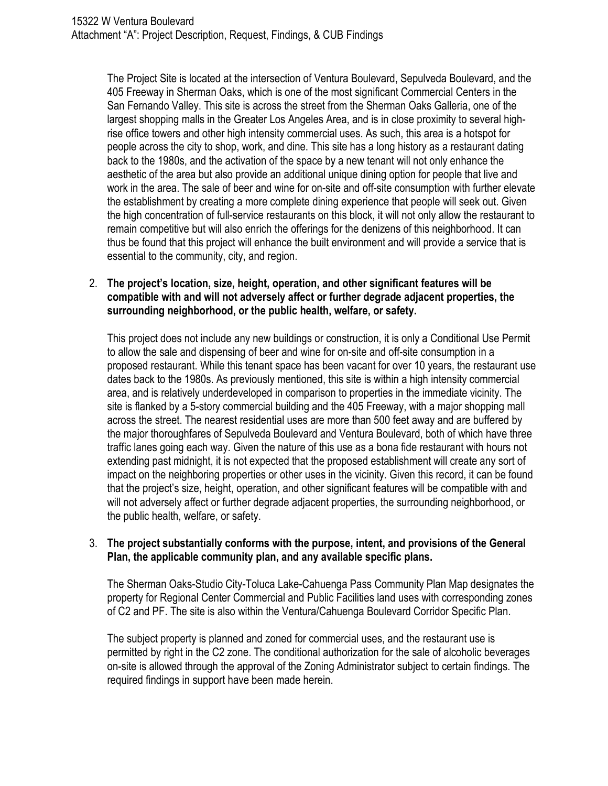The Project Site is located at the intersection of Ventura Boulevard, Sepulveda Boulevard, and the 405 Freeway in Sherman Oaks, which is one of the most significant Commercial Centers in the San Fernando Valley. This site is across the street from the Sherman Oaks Galleria, one of the largest shopping malls in the Greater Los Angeles Area, and is in close proximity to several highrise office towers and other high intensity commercial uses. As such, this area is a hotspot for people across the city to shop, work, and dine. This site has a long history as a restaurant dating back to the 1980s, and the activation of the space by a new tenant will not only enhance the aesthetic of the area but also provide an additional unique dining option for people that live and work in the area. The sale of beer and wine for on-site and off-site consumption with further elevate the establishment by creating a more complete dining experience that people will seek out. Given the high concentration of full-service restaurants on this block, it will not only allow the restaurant to remain competitive but will also enrich the offerings for the denizens of this neighborhood. It can thus be found that this project will enhance the built environment and will provide a service that is essential to the community, city, and region.

## 2. **The project's location, size, height, operation, and other significant features will be compatible with and will not adversely affect or further degrade adjacent properties, the surrounding neighborhood, or the public health, welfare, or safety.**

This project does not include any new buildings or construction, it is only a Conditional Use Permit to allow the sale and dispensing of beer and wine for on-site and off-site consumption in a proposed restaurant. While this tenant space has been vacant for over 10 years, the restaurant use dates back to the 1980s. As previously mentioned, this site is within a high intensity commercial area, and is relatively underdeveloped in comparison to properties in the immediate vicinity. The site is flanked by a 5-story commercial building and the 405 Freeway, with a major shopping mall across the street. The nearest residential uses are more than 500 feet away and are buffered by the major thoroughfares of Sepulveda Boulevard and Ventura Boulevard, both of which have three traffic lanes going each way. Given the nature of this use as a bona fide restaurant with hours not extending past midnight, it is not expected that the proposed establishment will create any sort of impact on the neighboring properties or other uses in the vicinity. Given this record, it can be found that the project's size, height, operation, and other significant features will be compatible with and will not adversely affect or further degrade adjacent properties, the surrounding neighborhood, or the public health, welfare, or safety.

#### 3. **The project substantially conforms with the purpose, intent, and provisions of the General Plan, the applicable community plan, and any available specific plans.**

The Sherman Oaks-Studio City-Toluca Lake-Cahuenga Pass Community Plan Map designates the property for Regional Center Commercial and Public Facilities land uses with corresponding zones of C2 and PF. The site is also within the Ventura/Cahuenga Boulevard Corridor Specific Plan.

The subject property is planned and zoned for commercial uses, and the restaurant use is permitted by right in the C2 zone. The conditional authorization for the sale of alcoholic beverages on-site is allowed through the approval of the Zoning Administrator subject to certain findings. The required findings in support have been made herein.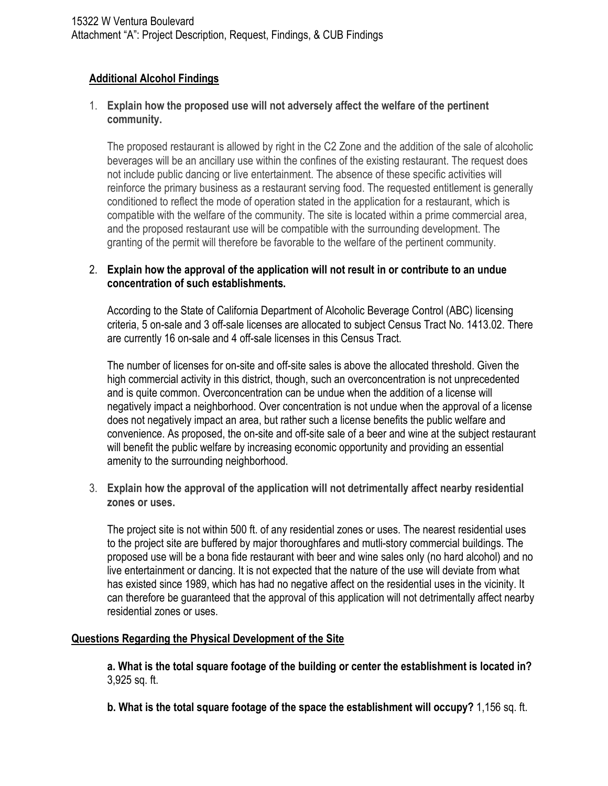## **Additional Alcohol Findings**

## 1. **Explain how the proposed use will not adversely affect the welfare of the pertinent community.**

The proposed restaurant is allowed by right in the C2 Zone and the addition of the sale of alcoholic beverages will be an ancillary use within the confines of the existing restaurant. The request does not include public dancing or live entertainment. The absence of these specific activities will reinforce the primary business as a restaurant serving food. The requested entitlement is generally conditioned to reflect the mode of operation stated in the application for a restaurant, which is compatible with the welfare of the community. The site is located within a prime commercial area, and the proposed restaurant use will be compatible with the surrounding development. The granting of the permit will therefore be favorable to the welfare of the pertinent community.

## 2. **Explain how the approval of the application will not result in or contribute to an undue concentration of such establishments.**

According to the State of California Department of Alcoholic Beverage Control (ABC) licensing criteria, 5 on-sale and 3 off-sale licenses are allocated to subject Census Tract No. 1413.02. There are currently 16 on-sale and 4 off-sale licenses in this Census Tract.

The number of licenses for on-site and off-site sales is above the allocated threshold. Given the high commercial activity in this district, though, such an overconcentration is not unprecedented and is quite common. Overconcentration can be undue when the addition of a license will negatively impact a neighborhood. Over concentration is not undue when the approval of a license does not negatively impact an area, but rather such a license benefits the public welfare and convenience. As proposed, the on-site and off-site sale of a beer and wine at the subject restaurant will benefit the public welfare by increasing economic opportunity and providing an essential amenity to the surrounding neighborhood.

3. **Explain how the approval of the application will not detrimentally affect nearby residential zones or uses.**

The project site is not within 500 ft. of any residential zones or uses. The nearest residential uses to the project site are buffered by major thoroughfares and mutli-story commercial buildings. The proposed use will be a bona fide restaurant with beer and wine sales only (no hard alcohol) and no live entertainment or dancing. It is not expected that the nature of the use will deviate from what has existed since 1989, which has had no negative affect on the residential uses in the vicinity. It can therefore be guaranteed that the approval of this application will not detrimentally affect nearby residential zones or uses.

## **Questions Regarding the Physical Development of the Site**

**a. What is the total square footage of the building or center the establishment is located in?**  3,925 sq. ft.

**b. What is the total square footage of the space the establishment will occupy?** 1,156 sq. ft.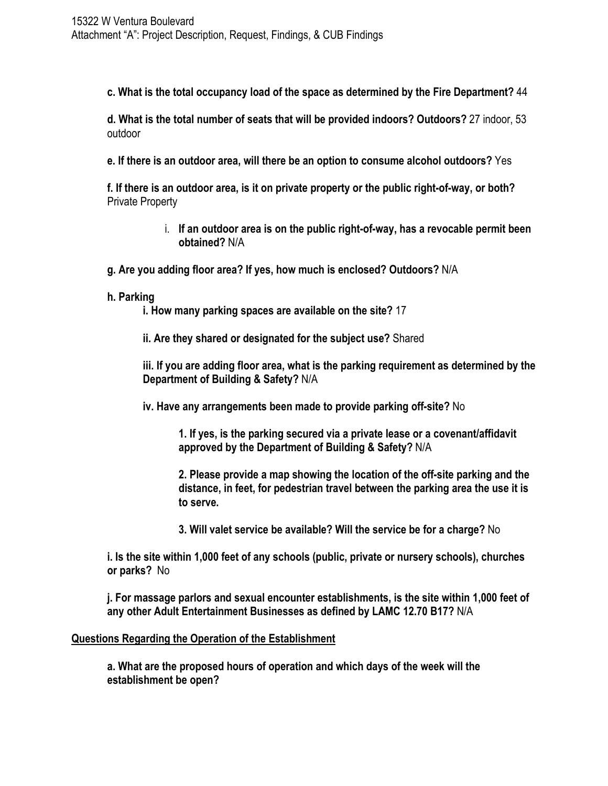**c. What is the total occupancy load of the space as determined by the Fire Department?** 44

**d. What is the total number of seats that will be provided indoors? Outdoors?** 27 indoor, 53 outdoor

**e. If there is an outdoor area, will there be an option to consume alcohol outdoors?** Yes

**f. If there is an outdoor area, is it on private property or the public right-of-way, or both?** Private Property

- i. **If an outdoor area is on the public right-of-way, has a revocable permit been obtained?** N/A
- **g. Are you adding floor area? If yes, how much is enclosed? Outdoors?** N/A
- **h. Parking**

**i. How many parking spaces are available on the site?** 17

**ii. Are they shared or designated for the subject use?** Shared

**iii. If you are adding floor area, what is the parking requirement as determined by the Department of Building & Safety?** N/A

**iv. Have any arrangements been made to provide parking off-site?** No

**1. If yes, is the parking secured via a private lease or a covenant/affidavit approved by the Department of Building & Safety?** N/A

**2. Please provide a map showing the location of the off-site parking and the distance, in feet, for pedestrian travel between the parking area the use it is to serve.** 

**3. Will valet service be available? Will the service be for a charge?** No

**i. Is the site within 1,000 feet of any schools (public, private or nursery schools), churches or parks?** No

**j. For massage parlors and sexual encounter establishments, is the site within 1,000 feet of any other Adult Entertainment Businesses as defined by LAMC 12.70 B17?** N/A

#### **Questions Regarding the Operation of the Establishment**

**a. What are the proposed hours of operation and which days of the week will the establishment be open?**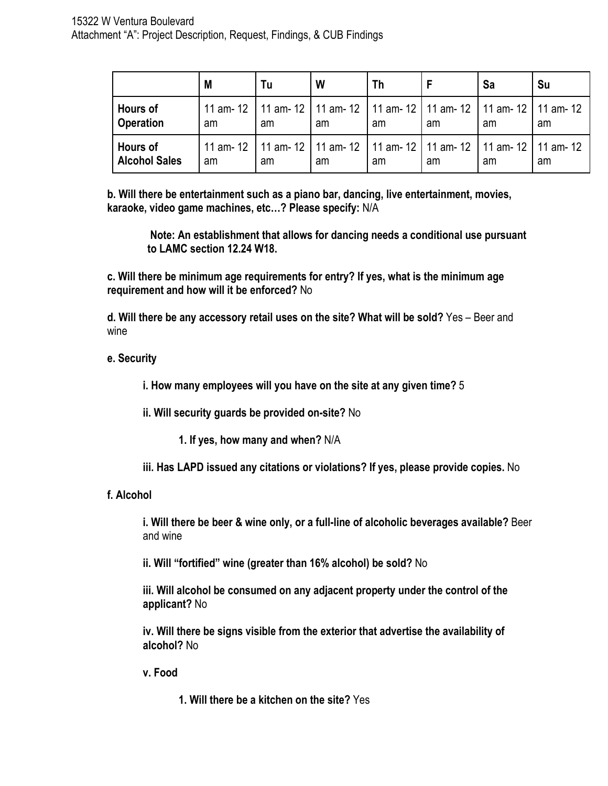|                                         | M  | Tu | W                                                                                       | Τh |    | Sa | Su |
|-----------------------------------------|----|----|-----------------------------------------------------------------------------------------|----|----|----|----|
| <b>Hours of</b><br><b>Operation</b>     | am | am | 11 am- 12   11 am- 12   11 am- 12   11 am- 12   11 am- 12   11 am- 12   11 am- 12<br>am | am | am | am | am |
| <b>Hours of</b><br><b>Alcohol Sales</b> | am | am | 11 am- 12   11 am- 12   11 am- 12   11 am- 12   11 am- 12   11 am- 12   11 am- 12<br>am | am | am | am | am |

**b. Will there be entertainment such as a piano bar, dancing, live entertainment, movies, karaoke, video game machines, etc…? Please specify:** N/A

**Note: An establishment that allows for dancing needs a conditional use pursuant to LAMC section 12.24 W18.** 

**c. Will there be minimum age requirements for entry? If yes, what is the minimum age requirement and how will it be enforced?** No

**d. Will there be any accessory retail uses on the site? What will be sold?** Yes – Beer and wine

## **e. Security**

**i. How many employees will you have on the site at any given time?** 5

**ii. Will security guards be provided on-site?** No

**1. If yes, how many and when?** N/A

**iii. Has LAPD issued any citations or violations? If yes, please provide copies.** No

#### **f. Alcohol**

**i. Will there be beer & wine only, or a full-line of alcoholic beverages available?** Beer and wine

**ii. Will "fortified" wine (greater than 16% alcohol) be sold?** No

**iii. Will alcohol be consumed on any adjacent property under the control of the applicant?** No

**iv. Will there be signs visible from the exterior that advertise the availability of alcohol?** No

**v. Food** 

**1. Will there be a kitchen on the site?** Yes